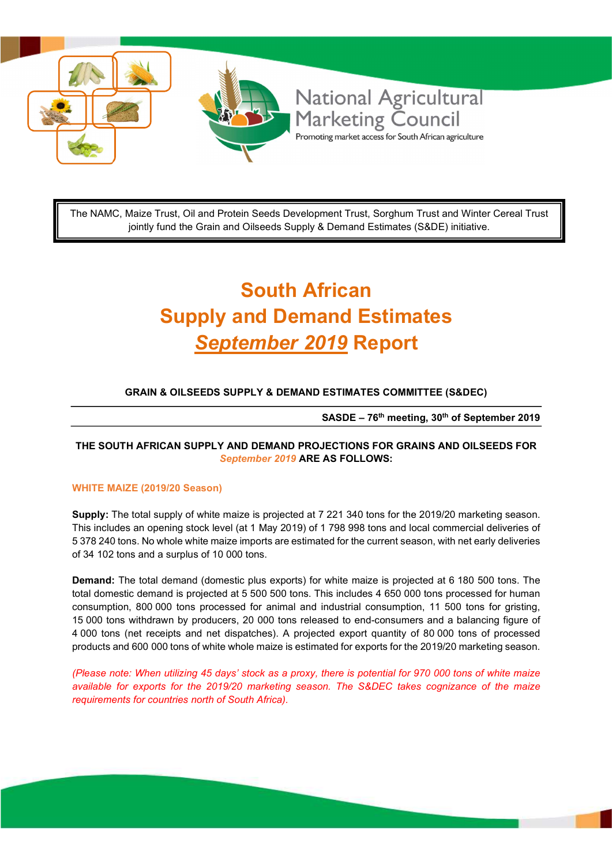

The NAMC, Maize Trust, Oil and Protein Seeds Development Trust, Sorghum Trust and Winter Cereal Trust jointly fund the Grain and Oilseeds Supply & Demand Estimates (S&DE) initiative.

# South African Supply and Demand Estimates September 2019 Report

# GRAIN & OILSEEDS SUPPLY & DEMAND ESTIMATES COMMITTEE (S&DEC)

SASDE - 76<sup>th</sup> meeting, 30<sup>th</sup> of September 2019

# THE SOUTH AFRICAN SUPPLY AND DEMAND PROJECTIONS FOR GRAINS AND OILSEEDS FOR September 2019 ARE AS FOLLOWS:

#### WHITE MAIZE (2019/20 Season)

Supply: The total supply of white maize is projected at 7 221 340 tons for the 2019/20 marketing season. This includes an opening stock level (at 1 May 2019) of 1 798 998 tons and local commercial deliveries of 5 378 240 tons. No whole white maize imports are estimated for the current season, with net early deliveries of 34 102 tons and a surplus of 10 000 tons.

Demand: The total demand (domestic plus exports) for white maize is projected at 6 180 500 tons. The total domestic demand is projected at 5 500 500 tons. This includes 4 650 000 tons processed for human consumption, 800 000 tons processed for animal and industrial consumption, 11 500 tons for gristing, 15 000 tons withdrawn by producers, 20 000 tons released to end-consumers and a balancing figure of 4 000 tons (net receipts and net dispatches). A projected export quantity of 80 000 tons of processed products and 600 000 tons of white whole maize is estimated for exports for the 2019/20 marketing season.

(Please note: When utilizing 45 days' stock as a proxy, there is potential for 970 000 tons of white maize available for exports for the 2019/20 marketing season. The S&DEC takes cognizance of the maize requirements for countries north of South Africa).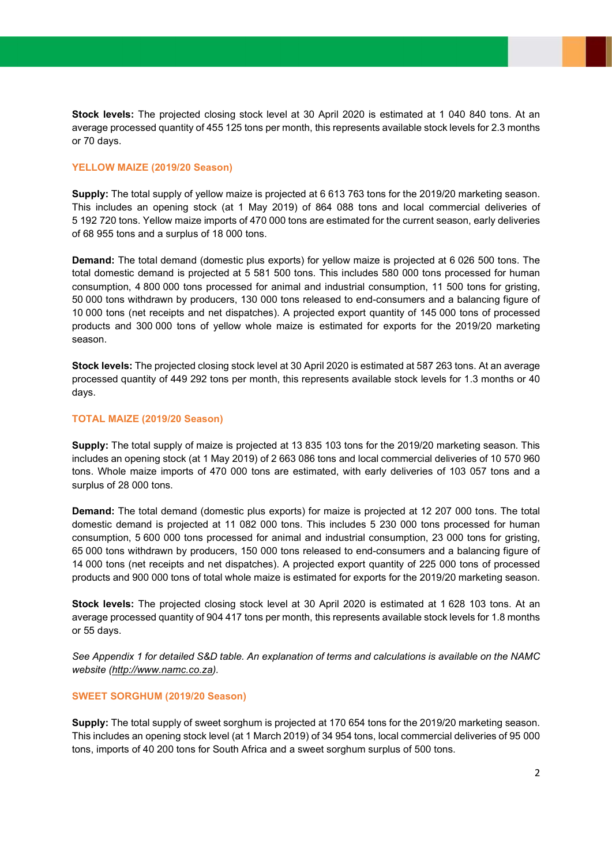Stock levels: The projected closing stock level at 30 April 2020 is estimated at 1 040 840 tons. At an average processed quantity of 455 125 tons per month, this represents available stock levels for 2.3 months or 70 days.

#### YELLOW MAIZE (2019/20 Season)

Supply: The total supply of yellow maize is projected at 6 613 763 tons for the 2019/20 marketing season. This includes an opening stock (at 1 May 2019) of 864 088 tons and local commercial deliveries of 5 192 720 tons. Yellow maize imports of 470 000 tons are estimated for the current season, early deliveries of 68 955 tons and a surplus of 18 000 tons.

Demand: The total demand (domestic plus exports) for yellow maize is projected at 6 026 500 tons. The total domestic demand is projected at 5 581 500 tons. This includes 580 000 tons processed for human consumption, 4 800 000 tons processed for animal and industrial consumption, 11 500 tons for gristing, 50 000 tons withdrawn by producers, 130 000 tons released to end-consumers and a balancing figure of 10 000 tons (net receipts and net dispatches). A projected export quantity of 145 000 tons of processed products and 300 000 tons of yellow whole maize is estimated for exports for the 2019/20 marketing season.

Stock levels: The projected closing stock level at 30 April 2020 is estimated at 587 263 tons. At an average processed quantity of 449 292 tons per month, this represents available stock levels for 1.3 months or 40 days.

#### TOTAL MAIZE (2019/20 Season)

Supply: The total supply of maize is projected at 13 835 103 tons for the 2019/20 marketing season. This includes an opening stock (at 1 May 2019) of 2 663 086 tons and local commercial deliveries of 10 570 960 tons. Whole maize imports of 470 000 tons are estimated, with early deliveries of 103 057 tons and a surplus of 28 000 tons.

Demand: The total demand (domestic plus exports) for maize is projected at 12 207 000 tons. The total domestic demand is projected at 11 082 000 tons. This includes 5 230 000 tons processed for human consumption, 5 600 000 tons processed for animal and industrial consumption, 23 000 tons for gristing, 65 000 tons withdrawn by producers, 150 000 tons released to end-consumers and a balancing figure of 14 000 tons (net receipts and net dispatches). A projected export quantity of 225 000 tons of processed products and 900 000 tons of total whole maize is estimated for exports for the 2019/20 marketing season.

Stock levels: The projected closing stock level at 30 April 2020 is estimated at 1 628 103 tons. At an average processed quantity of 904 417 tons per month, this represents available stock levels for 1.8 months or 55 days.

See Appendix 1 for detailed S&D table. An explanation of terms and calculations is available on the NAMC website (http://www.namc.co.za).

#### SWEET SORGHUM (2019/20 Season)

Supply: The total supply of sweet sorghum is projected at 170 654 tons for the 2019/20 marketing season. This includes an opening stock level (at 1 March 2019) of 34 954 tons, local commercial deliveries of 95 000 tons, imports of 40 200 tons for South Africa and a sweet sorghum surplus of 500 tons.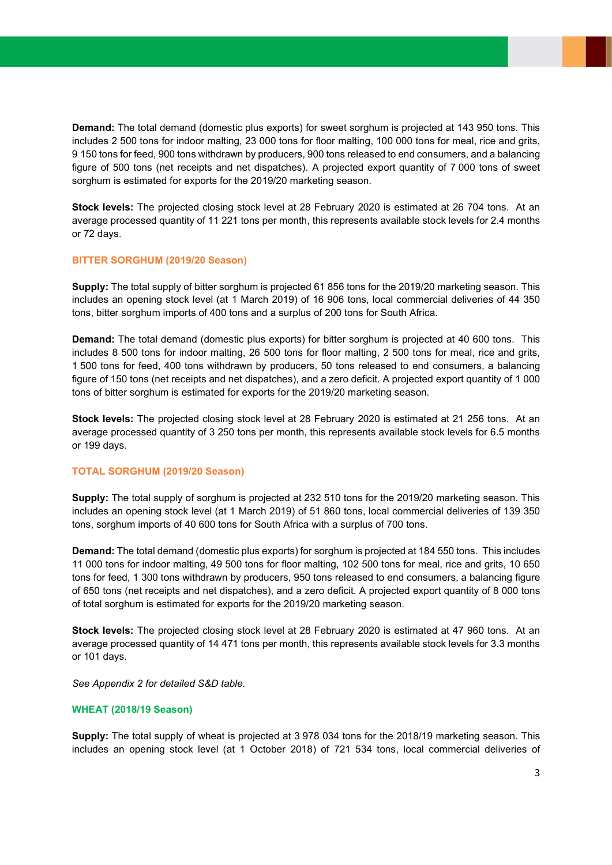Demand: The total demand (domestic plus exports) for sweet sorghum is projected at 143 950 tons. This includes 2 500 tons for indoor malting, 23 000 tons for floor malting, 100 000 tons for meal, rice and grits, 9 150 tons for feed, 900 tons withdrawn by producers, 900 tons released to end consumers, and a balancing figure of 500 tons (net receipts and net dispatches). A projected export quantity of 7 000 tons of sweet sorghum is estimated for exports for the 2019/20 marketing season.

Stock levels: The projected closing stock level at 28 February 2020 is estimated at 26 704 tons. At an average processed quantity of 11 221 tons per month, this represents available stock levels for 2.4 months or 72 days.

#### BITTER SORGHUM (2019/20 Season)

Supply: The total supply of bitter sorghum is projected 61 856 tons for the 2019/20 marketing season. This includes an opening stock level (at 1 March 2019) of 16 906 tons, local commercial deliveries of 44 350 tons, bitter sorghum imports of 400 tons and a surplus of 200 tons for South Africa.

Demand: The total demand (domestic plus exports) for bitter sorghum is projected at 40 600 tons. This includes 8 500 tons for indoor malting, 26 500 tons for floor malting, 2 500 tons for meal, rice and grits, 1 500 tons for feed, 400 tons withdrawn by producers, 50 tons released to end consumers, a balancing figure of 150 tons (net receipts and net dispatches), and a zero deficit. A projected export quantity of 1 000 tons of bitter sorghum is estimated for exports for the 2019/20 marketing season.

Stock levels: The projected closing stock level at 28 February 2020 is estimated at 21 256 tons. At an average processed quantity of 3 250 tons per month, this represents available stock levels for 6.5 months or 199 days.

#### TOTAL SORGHUM (2019/20 Season)

Supply: The total supply of sorghum is projected at 232 510 tons for the 2019/20 marketing season. This includes an opening stock level (at 1 March 2019) of 51 860 tons, local commercial deliveries of 139 350 tons, sorghum imports of 40 600 tons for South Africa with a surplus of 700 tons.

Demand: The total demand (domestic plus exports) for sorghum is projected at 184 550 tons. This includes 11 000 tons for indoor malting, 49 500 tons for floor malting, 102 500 tons for meal, rice and grits, 10 650 tons for feed, 1 300 tons withdrawn by producers, 950 tons released to end consumers, a balancing figure of 650 tons (net receipts and net dispatches), and a zero deficit. A projected export quantity of 8 000 tons of total sorghum is estimated for exports for the 2019/20 marketing season.

Stock levels: The projected closing stock level at 28 February 2020 is estimated at 47 960 tons. At an average processed quantity of 14 471 tons per month, this represents available stock levels for 3.3 months or 101 days.

See Appendix 2 for detailed S&D table.

#### WHEAT (2018/19 Season)

Supply: The total supply of wheat is projected at 3 978 034 tons for the 2018/19 marketing season. This includes an opening stock level (at 1 October 2018) of 721 534 tons, local commercial deliveries of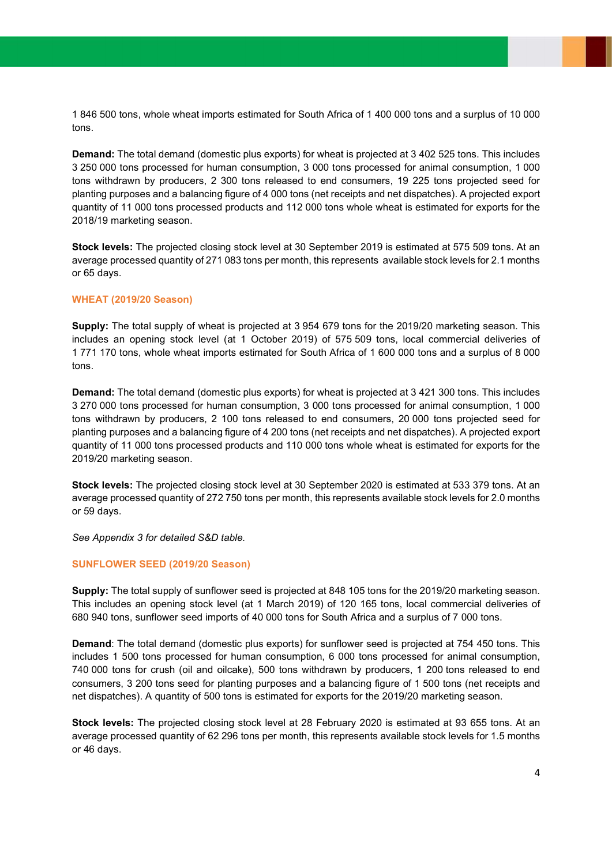1 846 500 tons, whole wheat imports estimated for South Africa of 1 400 000 tons and a surplus of 10 000 tons.

Demand: The total demand (domestic plus exports) for wheat is projected at 3 402 525 tons. This includes 3 250 000 tons processed for human consumption, 3 000 tons processed for animal consumption, 1 000 tons withdrawn by producers, 2 300 tons released to end consumers, 19 225 tons projected seed for planting purposes and a balancing figure of 4 000 tons (net receipts and net dispatches). A projected export quantity of 11 000 tons processed products and 112 000 tons whole wheat is estimated for exports for the 2018/19 marketing season.

Stock levels: The projected closing stock level at 30 September 2019 is estimated at 575 509 tons. At an average processed quantity of 271 083 tons per month, this represents available stock levels for 2.1 months or 65 days.

#### WHEAT (2019/20 Season)

Supply: The total supply of wheat is projected at 3 954 679 tons for the 2019/20 marketing season. This includes an opening stock level (at 1 October 2019) of 575 509 tons, local commercial deliveries of 1 771 170 tons, whole wheat imports estimated for South Africa of 1 600 000 tons and a surplus of 8 000 tons.

Demand: The total demand (domestic plus exports) for wheat is projected at 3 421 300 tons. This includes 3 270 000 tons processed for human consumption, 3 000 tons processed for animal consumption, 1 000 tons withdrawn by producers, 2 100 tons released to end consumers, 20 000 tons projected seed for planting purposes and a balancing figure of 4 200 tons (net receipts and net dispatches). A projected export quantity of 11 000 tons processed products and 110 000 tons whole wheat is estimated for exports for the 2019/20 marketing season.

Stock levels: The projected closing stock level at 30 September 2020 is estimated at 533 379 tons. At an average processed quantity of 272 750 tons per month, this represents available stock levels for 2.0 months or 59 days.

See Appendix 3 for detailed S&D table.

#### SUNFLOWER SEED (2019/20 Season)

Supply: The total supply of sunflower seed is projected at 848 105 tons for the 2019/20 marketing season. This includes an opening stock level (at 1 March 2019) of 120 165 tons, local commercial deliveries of 680 940 tons, sunflower seed imports of 40 000 tons for South Africa and a surplus of 7 000 tons.

Demand: The total demand (domestic plus exports) for sunflower seed is projected at 754 450 tons. This includes 1 500 tons processed for human consumption, 6 000 tons processed for animal consumption, 740 000 tons for crush (oil and oilcake), 500 tons withdrawn by producers, 1 200 tons released to end consumers, 3 200 tons seed for planting purposes and a balancing figure of 1 500 tons (net receipts and net dispatches). A quantity of 500 tons is estimated for exports for the 2019/20 marketing season.

Stock levels: The projected closing stock level at 28 February 2020 is estimated at 93 655 tons. At an average processed quantity of 62 296 tons per month, this represents available stock levels for 1.5 months or 46 days.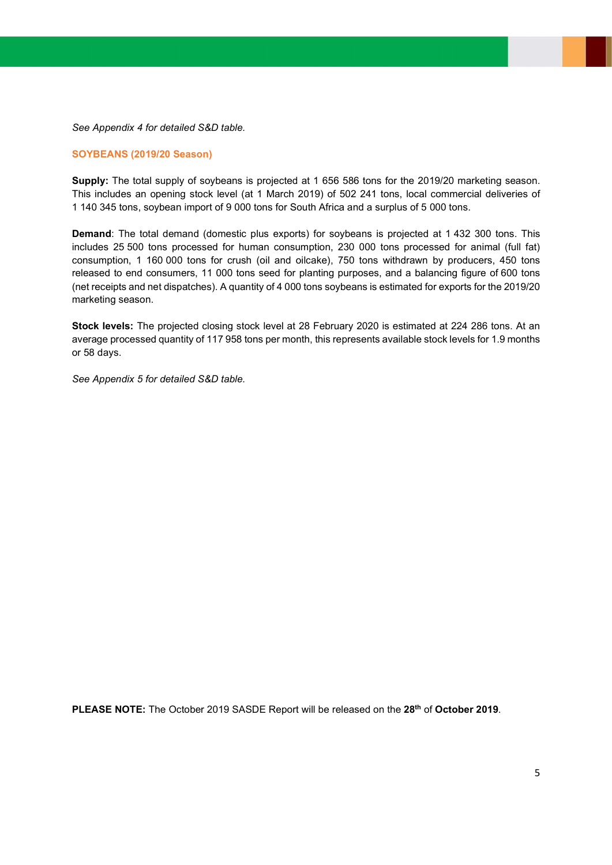#### See Appendix 4 for detailed S&D table.

#### SOYBEANS (2019/20 Season)

Supply: The total supply of soybeans is projected at 1 656 586 tons for the 2019/20 marketing season. This includes an opening stock level (at 1 March 2019) of 502 241 tons, local commercial deliveries of 1 140 345 tons, soybean import of 9 000 tons for South Africa and a surplus of 5 000 tons.

Demand: The total demand (domestic plus exports) for soybeans is projected at 1 432 300 tons. This includes 25 500 tons processed for human consumption, 230 000 tons processed for animal (full fat) consumption, 1 160 000 tons for crush (oil and oilcake), 750 tons withdrawn by producers, 450 tons released to end consumers, 11 000 tons seed for planting purposes, and a balancing figure of 600 tons (net receipts and net dispatches). A quantity of 4 000 tons soybeans is estimated for exports for the 2019/20 marketing season.

Stock levels: The projected closing stock level at 28 February 2020 is estimated at 224 286 tons. At an average processed quantity of 117 958 tons per month, this represents available stock levels for 1.9 months or 58 days.

See Appendix 5 for detailed S&D table.

PLEASE NOTE: The October 2019 SASDE Report will be released on the 28<sup>th</sup> of October 2019.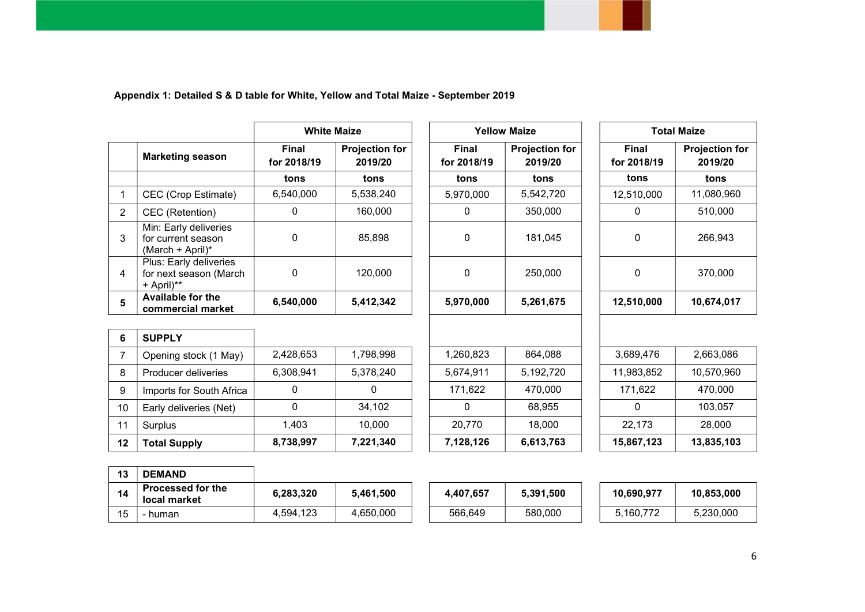|   |                                                                    |                      | <b>White Maize</b>               |                             | <b>Yellow Maize</b>              |                      | <b>Total Maize</b>              |
|---|--------------------------------------------------------------------|----------------------|----------------------------------|-----------------------------|----------------------------------|----------------------|---------------------------------|
|   | <b>Marketing season</b>                                            | Final<br>for 2018/19 | <b>Projection for</b><br>2019/20 | <b>Final</b><br>for 2018/19 | <b>Projection for</b><br>2019/20 | Final<br>for 2018/19 | <b>Projection fo</b><br>2019/20 |
|   |                                                                    | tons                 | tons                             | tons                        | tons                             | tons                 | tons                            |
|   | CEC (Crop Estimate)                                                | 6,540,000            | 5,538,240                        | 5,970,000                   | 5,542,720                        | 12,510,000           | 11,080,960                      |
| 2 | CEC (Retention)                                                    | 0                    | 160,000                          | 0                           | 350,000                          | 0                    | 510,000                         |
| 3 | Min: Early deliveries<br>for current season<br>$(March + April)^*$ | 0                    | 85,898                           | 0                           | 181,045                          | 0                    | 266,943                         |
| 4 | Plus: Early deliveries<br>for next season (March<br>+ April)**     | 0                    | 120,000                          | 0                           | 250,000                          | 0                    | 370,000                         |
| 5 | <b>Available for the</b><br>commercial market                      | 6,540,000            | 5,412,342                        | 5,970,000                   | 5,261,675                        | 12,510,000           | 10,674,017                      |

|  |  |  | Appendix 1: Detailed S & D table for White, Yellow and Total Maize - September 2019 |
|--|--|--|-------------------------------------------------------------------------------------|
|  |  |  |                                                                                     |

| <b>White Maize</b> |                                  |                             | <b>Yellow Maize</b>              |  |                             | <b>Total Maize</b>               |
|--------------------|----------------------------------|-----------------------------|----------------------------------|--|-----------------------------|----------------------------------|
| nal<br>018/19      | <b>Projection for</b><br>2019/20 | <b>Final</b><br>for 2018/19 | <b>Projection for</b><br>2019/20 |  | <b>Final</b><br>for 2018/19 | <b>Projection for</b><br>2019/20 |
| ns                 | tons                             | tons                        | tons                             |  | tons                        | tons                             |
| 0,000              | 5,538,240                        | 5,970,000                   | 5,542,720                        |  | 12,510,000                  | 11,080,960                       |
| 0                  | 160,000                          | 0                           | 350,000                          |  | 0                           | 510,000                          |
| 0                  | 85,898                           | 0                           | 181,045                          |  | 0                           | 266,943                          |
| 0                  | 120,000                          | 0                           | 250,000                          |  | 0                           | 370,000                          |
| 0,000              | 5,412,342                        | 5,970,000                   | 5,261,675                        |  | 12,510,000                  | 10,674,017                       |
|                    |                                  |                             |                                  |  |                             |                                  |
| 8,653              | 1,798,998                        | 1,260,823                   | 864,088                          |  | 3,689,476                   | 2,663,086                        |
| 8,941              | 5,378,240                        | 5,674,911                   | 5,192,720                        |  | 11,983,852                  | 10,570,960                       |
| 0                  | 0                                | 171,622                     | 470,000                          |  | 171,622                     | 470,000                          |
| 0                  | 34,102                           | 0                           | 68,955                           |  | 0                           | 103,057                          |
| 403                | 10,000                           | 20,770                      | 18,000                           |  | 22,173                      | 28,000                           |
| 8,997              | 7,221,340                        | 7,128,126                   | 6,613,763                        |  | 15,867,123                  | 13,835,103                       |
|                    |                                  |                             |                                  |  |                             |                                  |

| 6  | <b>SUPPLY</b>            |           |           |           |           |            |            |
|----|--------------------------|-----------|-----------|-----------|-----------|------------|------------|
|    | Opening stock (1 May)    | 2,428,653 | 1,798,998 | 1,260,823 | 864,088   | 3,689,476  | 2,663,086  |
| 8  | Producer deliveries      | 6,308,941 | 5,378,240 | 5,674,911 | 5,192,720 | 11,983,852 | 10,570,960 |
| 9  | Imports for South Africa |           |           | 171,622   | 470,000   | 171.622    | 470,000    |
| 10 | Early deliveries (Net)   |           | 34,102    |           | 68.955    |            | 103,057    |
| 11 | <b>Surplus</b>           | 1.403     | 10.000    | 20.770    | 18.000    | 22,173     | 28,000     |
| 12 | <b>Total Supply</b>      | 8,738,997 | 7,221,340 | 7,128,126 | 6,613,763 | 15,867,123 | 13,835,103 |

| 13 | <b>DEMAND</b>                            |           |           |           |           |            |            |
|----|------------------------------------------|-----------|-----------|-----------|-----------|------------|------------|
| 14 | <b>Processed for the</b><br>local market | 6,283,320 | 5,461,500 | 4,407,657 | 5,391,500 | 10,690,977 | 10,853,000 |
| 15 | ⊪human                                   | 4.594.123 | 4,650,000 | 566,649   | 580,000   | 5.160.772  | 5,230,000  |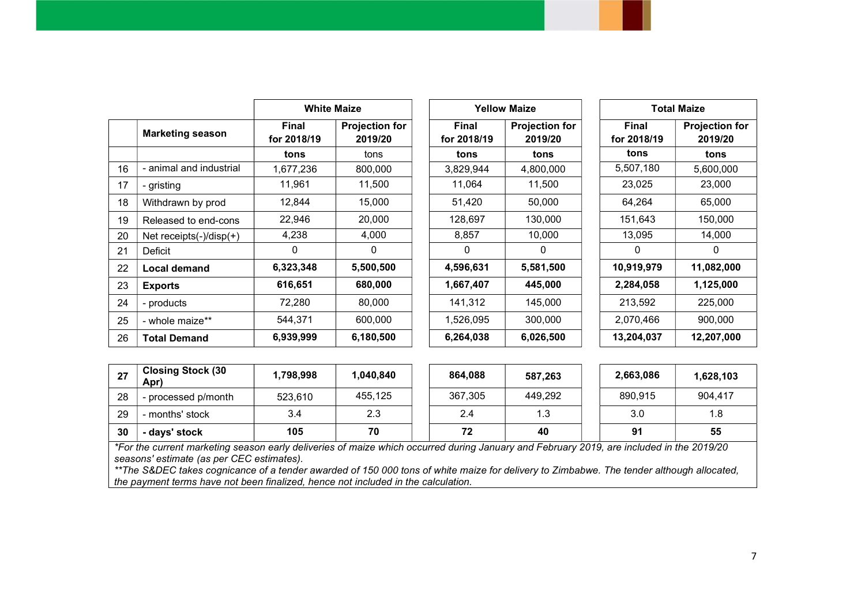|    |                                |                             | <b>White Maize</b>               |                             | <b>Yellow Maize</b>              |                             | <b>Total Maize</b>               |
|----|--------------------------------|-----------------------------|----------------------------------|-----------------------------|----------------------------------|-----------------------------|----------------------------------|
|    | <b>Marketing season</b>        | <b>Final</b><br>for 2018/19 | <b>Projection for</b><br>2019/20 | <b>Final</b><br>for 2018/19 | <b>Projection for</b><br>2019/20 | <b>Final</b><br>for 2018/19 | <b>Projection for</b><br>2019/20 |
|    |                                | tons                        | tons                             | tons                        | tons                             | tons                        | tons                             |
| 16 | - animal and industrial        | 1,677,236                   | 800,000                          | 3,829,944                   | 4,800,000                        | 5,507,180                   | 5,600,000                        |
| 17 | - gristing                     | 11,961                      | 11,500                           | 11,064                      | 11,500                           | 23,025                      | 23,000                           |
| 18 | Withdrawn by prod              | 12,844                      | 15,000                           | 51,420                      | 50,000                           | 64,264                      | 65,000                           |
| 19 | Released to end-cons           | 22,946                      | 20,000                           | 128,697                     | 130,000                          | 151,643                     | 150,000                          |
| 20 | Net receipts $(-)/$ disp $(+)$ | 4,238                       | 4,000                            | 8,857                       | 10,000                           | 13,095                      | 14,000                           |
| 21 | Deficit                        | 0                           | 0                                | 0                           | 0                                | 0                           | 0                                |
| 22 | <b>Local demand</b>            | 6,323,348                   | 5,500,500                        | 4,596,631                   | 5,581,500                        | 10,919,979                  | 11,082,000                       |
| 23 | <b>Exports</b>                 | 616,651                     | 680,000                          | 1,667,407                   | 445,000                          | 2,284,058                   | 1,125,000                        |
| 24 | - products                     | 72,280                      | 80,000                           | 141,312                     | 145,000                          | 213,592                     | 225,000                          |
| 25 | - whole maize**                | 544,371                     | 600,000                          | 1,526,095                   | 300,000                          | 2,070,466                   | 900,000                          |
| 26 | <b>Total Demand</b>            | 6,939,999                   | 6,180,500                        | 6,264,038                   | 6,026,500                        | 13,204,037                  | 12,207,000                       |

| 27 | <b>Closing Stock (30</b><br>Apr) | 1,798,998 | 1,040,840 | 864,088 | 587,263 | 2,663,086 | 1,628,103 |
|----|----------------------------------|-----------|-----------|---------|---------|-----------|-----------|
| 28 | - processed p/month              | 523.610   | 455.125   | 367,305 | 449.292 | 890.915   | 904.417   |
| 29 | - months' stock                  | 3.4       | 2.3       | 2.4     | 1.3     | 3.0       | 1.8       |
| 30 | - days' stock                    | 105       | 70        | 72      | 40      | 91        | 55        |

\*For the current marketing season early deliveries of maize which occurred during January and February 2019, are included in the 2019/20 seasons' estimate (as per CEC estimates).

\*\*The S&DEC takes cognicance of a tender awarded of 150 000 tons of white maize for delivery to Zimbabwe. The tender although allocated, the payment terms have not been finalized, hence not included in the calculation.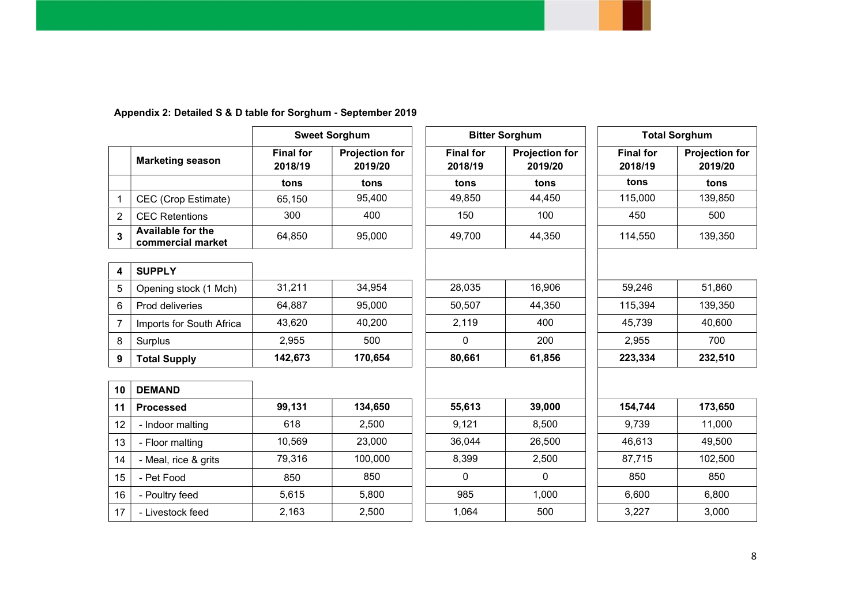|                |                                               |                             | <b>Sweet Sorghum</b>             |                             | <b>Bitter Sorghum</b>            |                             | <b>Total Sorghum</b>             |
|----------------|-----------------------------------------------|-----------------------------|----------------------------------|-----------------------------|----------------------------------|-----------------------------|----------------------------------|
|                | <b>Marketing season</b>                       | <b>Final for</b><br>2018/19 | <b>Projection for</b><br>2019/20 | <b>Final for</b><br>2018/19 | <b>Projection for</b><br>2019/20 | <b>Final for</b><br>2018/19 | <b>Projection for</b><br>2019/20 |
|                |                                               | tons                        | tons                             | tons                        | tons                             | tons                        | tons                             |
|                | CEC (Crop Estimate)                           | 65,150                      | 95,400                           | 49,850                      | 44,450                           | 115,000                     | 139,850                          |
| $\overline{2}$ | <b>CEC Retentions</b>                         | 300                         | 400                              | 150                         | 100                              | 450                         | 500                              |
| 3              | <b>Available for the</b><br>commercial market | 64,850                      | 95,000                           | 49,700                      | 44,350                           | 114,550                     | 139,350                          |
| 4              | <b>SUPPLY</b>                                 |                             |                                  |                             |                                  |                             |                                  |
| 5              | Opening stock (1 Mch)                         | 31,211                      | 34,954                           | 28,035                      | 16,906                           | 59,246                      | 51,860                           |
| 6              | Prod deliveries                               | 64,887                      | 95,000                           | 50,507                      | 44,350                           | 115,394                     | 139,350                          |
| $\overline{7}$ | Imports for South Africa                      | 43,620                      | 40,200                           | 2,119                       | 400                              | 45,739                      | 40,600                           |
| 8              | Surplus                                       | 2,955                       | 500                              | 0                           | 200                              | 2,955                       | 700                              |
| 9              | <b>Total Supply</b>                           | 142,673                     | 170,654                          | 80,661                      | 61,856                           | 223,334                     | 232,510                          |
|                |                                               |                             |                                  |                             |                                  |                             |                                  |
| 10             | <b>DEMAND</b>                                 |                             |                                  |                             |                                  |                             |                                  |
| 11             | <b>Processed</b>                              | 99,131                      | 134,650                          | 55,613                      | 39,000                           | 154,744                     | 173,650                          |
| 12             | - Indoor malting                              | 618                         | 2,500                            | 9,121                       | 8,500                            | 9,739                       | 11,000                           |
| 13             | - Floor malting                               | 10,569                      | 23,000                           | 36,044                      | 26,500                           | 46,613                      | 49,500                           |
| 14             | - Meal, rice & grits                          | 79,316                      | 100,000                          | 8,399                       | 2,500                            | 87,715                      | 102,500                          |
| 15             | - Pet Food                                    | 850                         | 850                              | 0                           | $\mathbf 0$                      | 850                         | 850                              |
| 16             | - Poultry feed                                | 5,615                       | 5,800                            | 985                         | 1,000                            | 6,600                       | 6,800                            |
| 17             | - Livestock feed                              | 2,163                       | 2,500                            | 1,064                       | 500                              | 3,227                       | 3,000                            |

# Appendix 2: Detailed S & D table for Sorghum - September 2019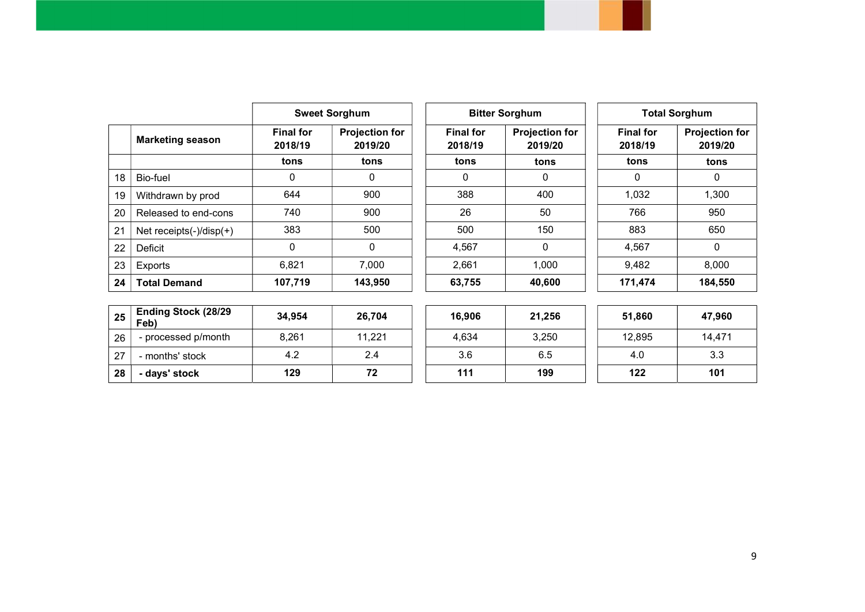|    |                                |                             | <b>Sweet Sorghum</b>             |                             | <b>Bitter Sorghum</b>            |                             | <b>Total Sorghum</b>             |
|----|--------------------------------|-----------------------------|----------------------------------|-----------------------------|----------------------------------|-----------------------------|----------------------------------|
|    | <b>Marketing season</b>        | <b>Final for</b><br>2018/19 | <b>Projection for</b><br>2019/20 | <b>Final for</b><br>2018/19 | <b>Projection for</b><br>2019/20 | <b>Final for</b><br>2018/19 | <b>Projection for</b><br>2019/20 |
|    |                                | tons                        | tons                             | tons                        | tons                             | tons                        | tons                             |
| 18 | Bio-fuel                       | 0                           | 0                                | $\Omega$                    | 0                                | 0                           | 0                                |
| 19 | Withdrawn by prod              | 644                         | 900                              | 388                         | 400                              | 1,032                       | 1,300                            |
| 20 | Released to end-cons           | 740                         | 900                              | 26                          | 50                               | 766                         | 950                              |
| 21 | Net receipts $(-)/$ disp $(+)$ | 383                         | 500                              | 500                         | 150                              | 883                         | 650                              |
| 22 | Deficit                        | 0                           | 0                                | 4,567                       | $\Omega$                         | 4,567                       | 0                                |
| 23 | Exports                        | 6,821                       | 7,000                            | 2,661                       | 1,000                            | 9,482                       | 8,000                            |
| 24 | <b>Total Demand</b>            | 107,719                     | 143,950                          | 63,755                      | 40,600                           | 171,474                     | 184,550                          |

| 25 | <b>Ending Stock (28/29</b><br>Feb) | 34,954 | 26.704 | 16.906 | 21,256 | 51.860 | 47,960 |  |
|----|------------------------------------|--------|--------|--------|--------|--------|--------|--|
| 26 | - processed p/month                | 8,261  | 11,221 | 4.634  | 3,250  | 12,895 | 14,471 |  |
| 27 | - months' stock                    | 4.2    | 2.4    | 3.6    | 6.5    | 4.0    | 3.3    |  |
| 28 | - days' stock                      | 129    | 72     | 111    | 199    | 122    | 101    |  |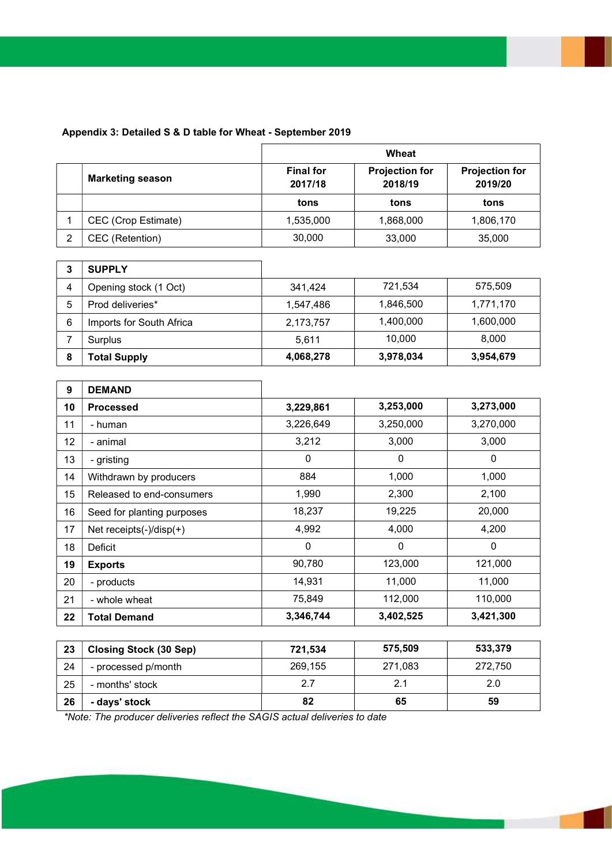|  |  |  | Appendix 3: Detailed S & D table for Wheat - September 2019 |  |
|--|--|--|-------------------------------------------------------------|--|
|--|--|--|-------------------------------------------------------------|--|

|   |                         |                             | Wheat                            |                                  |
|---|-------------------------|-----------------------------|----------------------------------|----------------------------------|
|   | <b>Marketing season</b> | <b>Final for</b><br>2017/18 | <b>Projection for</b><br>2018/19 | <b>Projection for</b><br>2019/20 |
|   |                         | tons                        | tons                             | tons                             |
|   | CEC (Crop Estimate)     | 1,535,000                   | 1,868,000                        | 1,806,170                        |
| ⌒ | CEC (Retention)         | 30,000                      | 33,000                           | 35,000                           |

|   | <b>SUPPLY</b>            |           |           |           |
|---|--------------------------|-----------|-----------|-----------|
|   | Opening stock (1 Oct)    | 341,424   | 721,534   | 575.509   |
| 5 | Prod deliveries*         | 1,547,486 | 1,846,500 | 1,771,170 |
| 6 | Imports for South Africa | 2,173,757 | 1,400,000 | 1,600,000 |
|   | Surplus                  | 5.611     | 10,000    | 8,000     |
|   | <b>Total Supply</b>      | 4,068,278 | 3,978,034 | 3,954,679 |

| 9  | <b>DEMAND</b>                  |           |           |           |
|----|--------------------------------|-----------|-----------|-----------|
| 10 | <b>Processed</b>               | 3,229,861 | 3,253,000 | 3,273,000 |
| 11 | - human                        | 3,226,649 | 3,250,000 | 3,270,000 |
| 12 | - animal                       | 3,212     | 3,000     | 3,000     |
| 13 | - gristing                     | $\Omega$  | $\Omega$  | 0         |
| 14 | Withdrawn by producers         | 884       | 1,000     | 1,000     |
| 15 | Released to end-consumers      | 1,990     | 2,300     | 2,100     |
| 16 | Seed for planting purposes     | 18,237    | 19,225    | 20,000    |
| 17 | Net receipts $(-)/$ disp $(+)$ | 4,992     | 4,000     | 4,200     |
| 18 | Deficit                        | $\Omega$  | 0         | 0         |
| 19 | <b>Exports</b>                 | 90,780    | 123,000   | 121,000   |
| 20 | - products                     | 14,931    | 11,000    | 11,000    |
| 21 | - whole wheat                  | 75,849    | 112,000   | 110,000   |
| 22 | <b>Total Demand</b>            | 3,346,744 | 3,402,525 | 3,421,300 |

| 23  | <b>Closing Stock (30 Sep)</b> | 721.534 | 575.509 | 533,379 |
|-----|-------------------------------|---------|---------|---------|
| -24 | - processed p/month           | 269,155 | 271,083 | 272,750 |
| 25  | - months' stock               | 2.7     |         | 2.0     |
| 26  | - days' stock                 | 82      | 65      | 59      |

\*Note: The producer deliveries reflect the SAGIS actual deliveries to date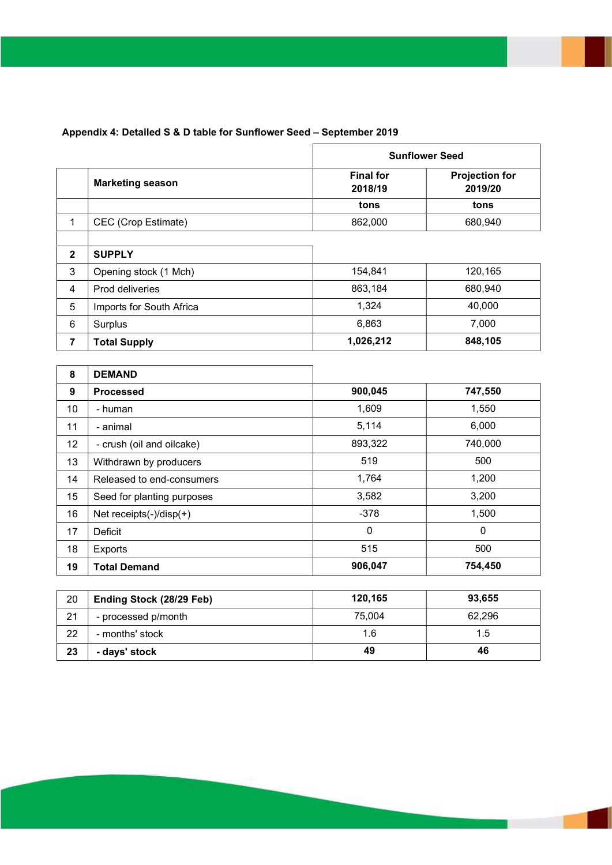# Appendix 4: Detailed S & D table for Sunflower Seed – September 2019

|                |                            | <b>Sunflower Seed</b>       |                                  |  |
|----------------|----------------------------|-----------------------------|----------------------------------|--|
|                | <b>Marketing season</b>    | <b>Final for</b><br>2018/19 | <b>Projection for</b><br>2019/20 |  |
|                |                            | tons                        | tons                             |  |
| $\mathbf{1}$   | CEC (Crop Estimate)        | 862,000                     | 680,940                          |  |
| $\overline{2}$ | <b>SUPPLY</b>              |                             |                                  |  |
| 3              | Opening stock (1 Mch)      | 154,841                     | 120,165                          |  |
| $\overline{4}$ | Prod deliveries            | 863,184                     | 680,940                          |  |
| 5              | Imports for South Africa   | 1,324                       | 40,000                           |  |
| 6              | Surplus                    | 6,863                       | 7,000                            |  |
| $\overline{7}$ | <b>Total Supply</b>        | 1,026,212                   | 848,105                          |  |
|                |                            |                             |                                  |  |
| 8              | <b>DEMAND</b>              |                             |                                  |  |
| 9              | <b>Processed</b>           | 900,045                     | 747,550                          |  |
| 10             | - human                    | 1,609                       | 1,550                            |  |
| 11             | - animal                   | 5,114                       | 6,000                            |  |
| 12             | - crush (oil and oilcake)  | 893,322                     | 740,000                          |  |
| 13             | Withdrawn by producers     | 519                         | 500                              |  |
| 14             | Released to end-consumers  | 1,764                       | 1,200                            |  |
| 15             | Seed for planting purposes | 3,582                       | 3,200                            |  |
| 16             | Net receipts(-)/disp(+)    | $-378$                      | 1,500                            |  |
| 17             | <b>Deficit</b>             | $\overline{0}$              | $\mathbf 0$                      |  |
| 18             | <b>Exports</b>             | 515                         | 500                              |  |
| 19             | <b>Total Demand</b>        | 906,047                     | 754,450                          |  |
|                |                            |                             |                                  |  |

| 20 | Ending Stock (28/29 Feb) | 120,165 | 93,655 |
|----|--------------------------|---------|--------|
| 21 | - processed p/month      | 75.004  | 62.296 |
| 22 | - months' stock          | 1.6     | 1.5    |
| 23 | - days' stock            | 49      | 46     |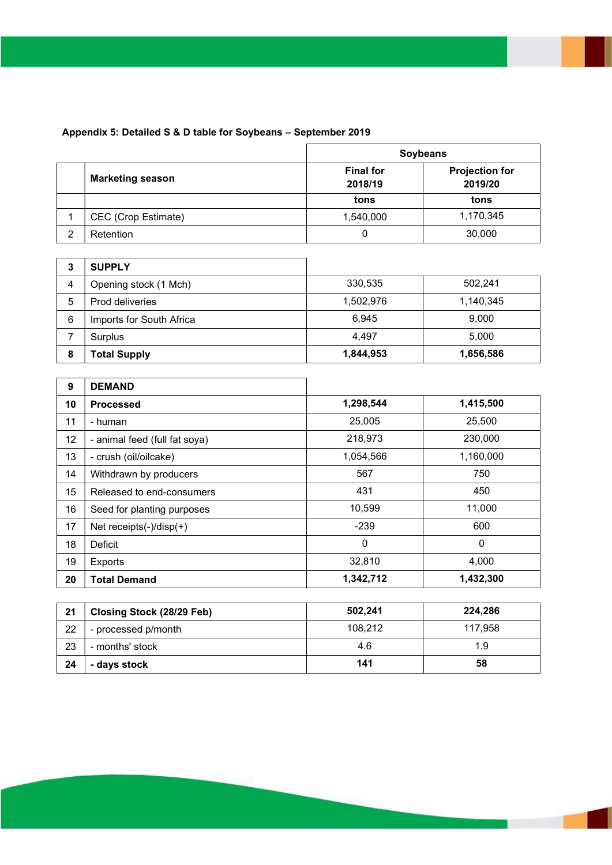|  |  |  |  | Appendix 5: Detailed S & D table for Soybeans - September 2019 |
|--|--|--|--|----------------------------------------------------------------|
|--|--|--|--|----------------------------------------------------------------|

|   |                         | <b>Soybeans</b>             |                                  |
|---|-------------------------|-----------------------------|----------------------------------|
|   | <b>Marketing season</b> | <b>Final for</b><br>2018/19 | <b>Projection for</b><br>2019/20 |
|   |                         | tons                        | tons                             |
|   | CEC (Crop Estimate)     | 1,540,000                   | 1,170,345                        |
| ⌒ | Retention               | 0                           | 30,000                           |

| ּ | <b>SUPPLY</b>            |           |           |
|---|--------------------------|-----------|-----------|
| 4 | Opening stock (1 Mch)    | 330,535   | 502,241   |
| 5 | Prod deliveries          | 1,502,976 | 1,140,345 |
| 6 | Imports for South Africa | 6,945     | 9,000     |
|   | Surplus                  | 4.497     | 5,000     |
| 8 | <b>Total Supply</b>      | 1,844,953 | 1,656,586 |

| 9               | <b>DEMAND</b>                 |           |           |
|-----------------|-------------------------------|-----------|-----------|
| 10              | <b>Processed</b>              | 1,298,544 | 1,415,500 |
| 11              | - human                       | 25,005    | 25,500    |
| 12 <sub>2</sub> | - animal feed (full fat soya) | 218,973   | 230,000   |
| 13              | - crush (oil/oilcake)         | 1,054,566 | 1,160,000 |
| 14              | Withdrawn by producers        | 567       | 750       |
| 15              | Released to end-consumers     | 431       | 450       |
| 16              | Seed for planting purposes    | 10,599    | 11,000    |
| 17              | Net receipts(-)/disp(+)       | $-239$    | 600       |
| 18              | Deficit                       | 0         | 0         |
| 19              | <b>Exports</b>                | 32,810    | 4,000     |
| 20              | <b>Total Demand</b>           | 1,342,712 | 1,432,300 |

| 21 | Closing Stock (28/29 Feb) | 502,241 | 224,286 |
|----|---------------------------|---------|---------|
| 22 | - processed p/month       | 108.212 | 117.958 |
| 23 | - months' stock           | 4.6     | 1.9     |
| 24 | - days stock              | 141     | 58      |